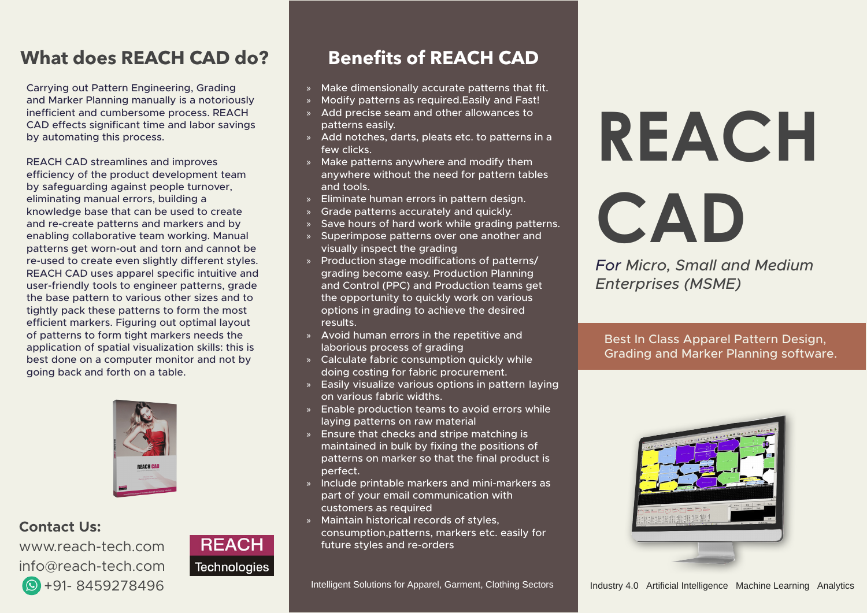# **What does REACH CAD do?**

Carrying out Pattern Engineering, Grading and Marker Planning manually is a notoriously inefficient and cumbersome process. REACH CAD effects significant time and labor savings by automating this process.

REACH CAD streamlines and improves efficiency of the product development team by safeguarding against people turnover, eliminating manual errors, building a knowledge base that can be used to create and re-create patterns and markers and by enabling collaborative team working. Manual patterns get worn-out and torn and cannot be re-used to create even slightly different styles. REACH CAD uses apparel specific intuitive and user-friendly tools to engineer patterns, grade the base pattern to various other sizes and to tightly pack these patterns to form the most efficient markers. Figuring out optimal layout of patterns to form tight markers needs the application of spatial visualization skills: this is best done on a computer monitor and not by going back and forth on a table.



**Contact Us:** 

www.reach-tech.com info@reach-tech.com  $\circ$  +91-8459278496



# **Benefits of REACH CAD**

- » Make dimensionally accurate patterns that fit.
- » Modify patterns as required. Easily and Fast!
- » Add precise seam and other allowances to patterns easily.
- » Add notches, darts, pleats etc. to patterns in a few clicks.
- $\lambda$  Make patterns anywhere and modify them anywhere without the need for pattern tables and tools.
- » Eliminate human errors in pattern design.
- » Grade patterns accurately and quickly.
- » Save hours of hard work while grading patterns.
- » Superimpose patterns over one another and visually inspect the grading
- » Production stage modifications of patterns/ grading become easy. Production Planning and Control (PPC) and Production teams get the opportunity to quickly work on various options in grading to achieve the desired .results
- » Avoid human errors in the repetitive and laborious process of grading
- » Calculate fabric consumption quickly while doing costing for fabric procurement.
- $\frac{1}{2}$  Easily visualize various options in pattern laying on various fabric widths.
- » Enable production teams to avoid errors while laying patterns on raw material
- $\mathcal{S}$  Ensure that checks and stripe matching is maintained in bulk by fixing the positions of patterns on marker so that the final product is .perfect
- » Include printable markers and mini-markers as part of your email communication with customers as required
- » Maintain historical records of styles, consumption, patterns, markers etc. easily for future styles and re-orders

# **REACH CAD**

*For Micro, Small and Medium (MSME (Enterprises*

Best In Class Apparel Pattern Design, Grading and Marker Planning software.